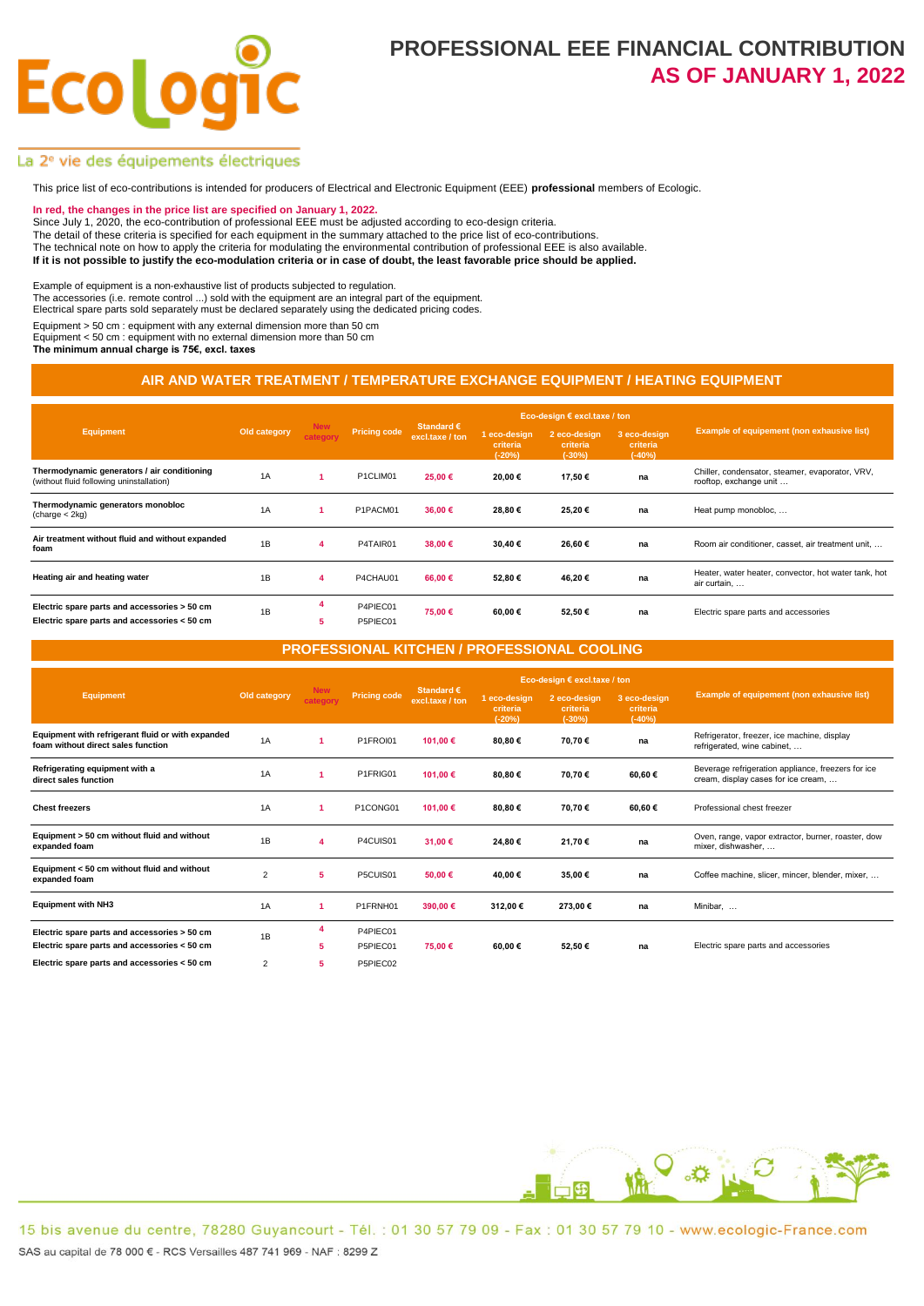# **Ecolo**

### **PROFESSIONAL EEE FINANCIAL CONTRIBUTION AS OF JANUARY 1, 2022**

#### La 2<sup>e</sup> vie des équipements électriques

This price list of eco-contributions is intended for producers of Electrical and Electronic Equipment (EEE) **professional** members of Ecologic.

#### **In red, the changes in the price list are specified on January 1, 2022.**

Since July 1, 2020, the eco-contribution of professional EEE must be adjusted according to eco-design criteria.

The detail of these criteria is specified for each equipment in the summary attached to the price list of eco-contributions.

The technical note on how to apply the criteria for modulating the environmental contribution of professional EEE is also available.

**If it is not possible to justify the eco-modulation criteria or in case of doubt, the least favorable price should be applied.** 

Example of equipment is a non-exhaustive list of products subjected to regulation.

The accessories (i.e. remote control ...) sold with the equipment are an integral part of the equipment. Electrical spare parts sold separately must be declared separately using the dedicated pricing codes.

Equipment > 50 cm : equipment with any external dimension more than 50 cm

Equipment  $< 50$  cm : equipment with no external dimension more than 50 cm

**The minimum annual charge is 75€, excl. taxes**

#### **AIR AND WATER TREATMENT / TEMPERATURE EXCHANGE EQUIPMENT / HEATING EQUIPMENT**

| <b>Equipment</b>                                                                             | Old category | <b>New</b><br>category | <b>Pricing code</b>  |                                        |                                      | Eco-design $\epsilon$ excl.taxe / ton |                                      |                                                                           |
|----------------------------------------------------------------------------------------------|--------------|------------------------|----------------------|----------------------------------------|--------------------------------------|---------------------------------------|--------------------------------------|---------------------------------------------------------------------------|
|                                                                                              |              |                        |                      | Standard $\epsilon$<br>excl.taxe / ton | 1 eco-design<br>criteria<br>$(-20%)$ | 2 eco-design<br>criteria<br>$(-30%)$  | 3 eco-design<br>criteria<br>$(-40%)$ | Example of equipement (non exhausive list)                                |
| Thermodynamic generators / air conditioning<br>(without fluid following uninstallation)      | 1A           |                        | P1CLIM01             | 25,00 €                                | 20,00 €                              | 17,50 €                               | na                                   | Chiller, condensator, steamer, evaporator, VRV,<br>rooftop, exchange unit |
| Thermodynamic generators monobloc<br>(charge < 2kg)                                          | 1A           |                        | P1PACM01             | 36.00 €                                | 28,80 €                              | 25.20€                                | na                                   | Heat pump monobloc,                                                       |
| Air treatment without fluid and without expanded<br>foam                                     | 1B           | 4                      | P4TAIR01             | 38.00 €                                | 30.40€                               | 26,60€                                | na                                   | Room air conditioner, casset, air treatment unit,                         |
| Heating air and heating water                                                                | 1B           | 4                      | P4CHAU01             | 66.00 €                                | 52,80€                               | 46.20€                                | na                                   | Heater, water heater, convector, hot water tank, hot<br>air curtain,      |
| Electric spare parts and accessories > 50 cm<br>Electric spare parts and accessories < 50 cm | 1B           | 5                      | P4PIEC01<br>P5PIEC01 | 75.00 €                                | 60.00 €                              | 52.50€                                | na                                   | Electric spare parts and accessories                                      |

**PROFESSIONAL KITCHEN / PROFESSIONAL COOLING**

|                                                                                              |                | <b>New</b><br>category |                      |                                        |                                      | Eco-design € excl.taxe / ton         |                                      |                                                                                           |
|----------------------------------------------------------------------------------------------|----------------|------------------------|----------------------|----------------------------------------|--------------------------------------|--------------------------------------|--------------------------------------|-------------------------------------------------------------------------------------------|
| <b>Equipment</b>                                                                             | Old category   |                        | <b>Pricing code</b>  | Standard $\epsilon$<br>excl.taxe / ton | 1 eco-design<br>criteria<br>$(-20%)$ | 2 eco-design<br>criteria<br>$(-30%)$ | 3 eco-design<br>criteria<br>$(-40%)$ | Example of equipement (non exhausive list)                                                |
| Equipment with refrigerant fluid or with expanded<br>foam without direct sales function      | 1A             |                        | P1FROI01             | 101.00 €                               | 80,80€                               | 70,70€                               | na                                   | Refrigerator, freezer, ice machine, display<br>refrigerated, wine cabinet,                |
| Refrigerating equipment with a<br>direct sales function                                      | 1A             | 1                      | P1FRIG01             | 101.00€                                | 80,80€                               | 70,70€                               | 60.60€                               | Beverage refrigeration appliance, freezers for ice<br>cream, display cases for ice cream, |
| <b>Chest freezers</b>                                                                        | 1A             | 1                      | P1CONG01             | 101.00 €                               | 80,80€                               | 70.70€                               | 60.60€                               | Professional chest freezer                                                                |
| Equipment > 50 cm without fluid and without<br>expanded foam                                 | 1B             | Δ                      | P4CUIS01             | 31.00 €                                | 24,80€                               | 21.70€                               | na                                   | Oven, range, vapor extractor, burner, roaster, dow<br>mixer, dishwasher,                  |
| Equipment < 50 cm without fluid and without<br>expanded foam                                 | $\overline{2}$ | 5                      | P5CUIS01             | 50.00 €                                | 40,00 €                              | 35,00€                               | na                                   | Coffee machine, slicer, mincer, blender, mixer,                                           |
| <b>Equipment with NH3</b>                                                                    | 1A             | 1                      | P1FRNH01             | 390.00€                                | 312.00 €                             | 273.00€                              | na                                   | Minibar.                                                                                  |
| Electric spare parts and accessories > 50 cm<br>Electric spare parts and accessories < 50 cm | 1B             | 4<br>5                 | P4PIEC01<br>P5PIEC01 | 75.00 €                                | 60.00€                               | 52.50€                               | na                                   | Electric spare parts and accessories                                                      |
| Electric spare parts and accessories < 50 cm                                                 | 2              | 5                      | P5PIEC02             |                                        |                                      |                                      |                                      |                                                                                           |

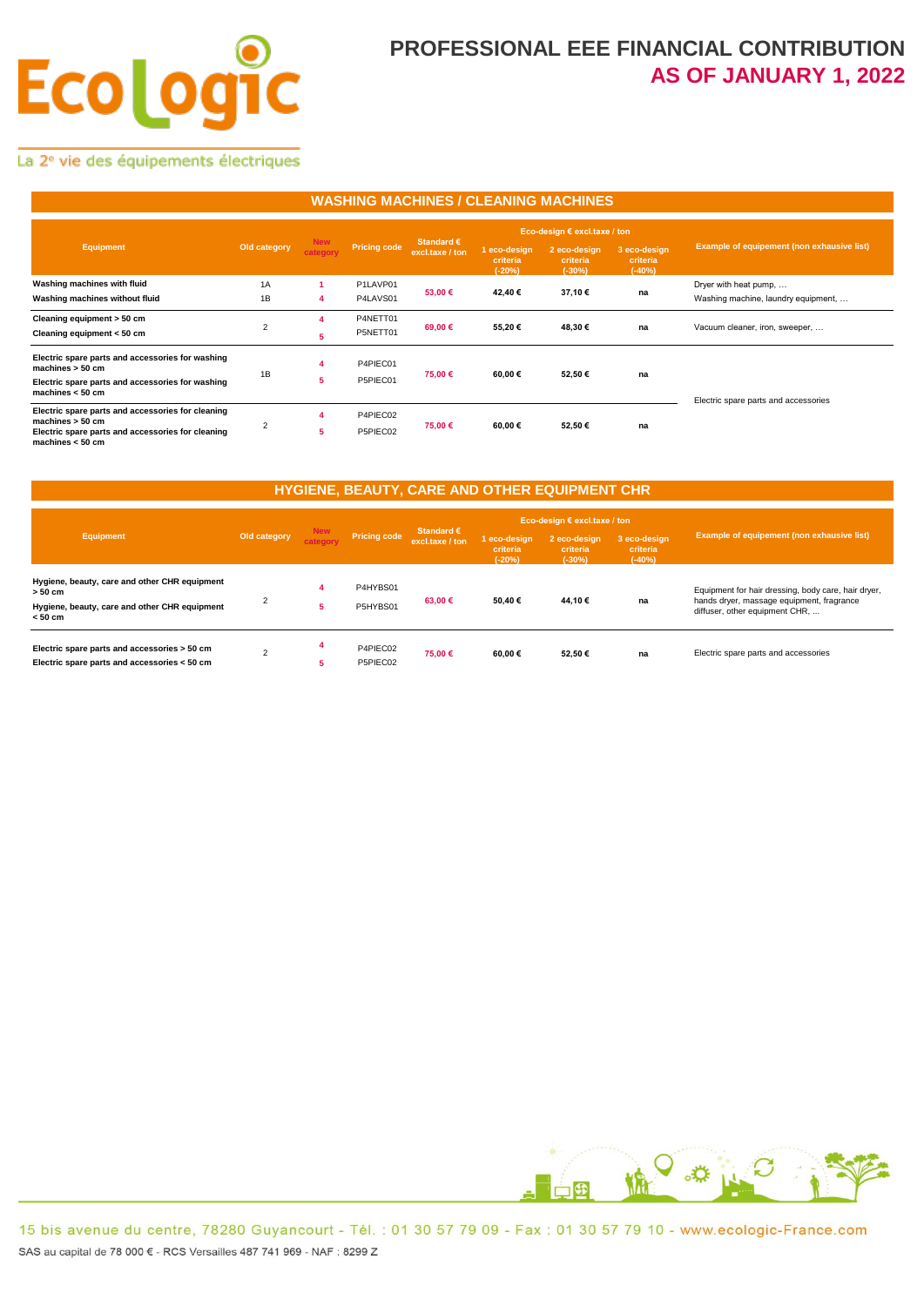# **Ecologi** ÍC

### **PROFESSIONAL EEE FINANCIAL CONTRIBUTION AS OF JANUARY 1, 2022**

La 2<sup>e</sup> vie des équipements électriques

#### **WASHING MACHINES / CLEANING MACHINES**

|                                                                                                                                                    | Old category   | <b>New</b><br>category | <b>Pricing code</b>  |                                        |                                      | Eco-design $\epsilon$ excl.taxe / ton |                                      |                                                              |
|----------------------------------------------------------------------------------------------------------------------------------------------------|----------------|------------------------|----------------------|----------------------------------------|--------------------------------------|---------------------------------------|--------------------------------------|--------------------------------------------------------------|
| <b>Equipment</b>                                                                                                                                   |                |                        |                      | Standard $\epsilon$<br>excl.taxe / ton | 1 eco-design<br>criteria<br>$(-20%)$ | 2 eco-design<br>criteria<br>$(-30%)$  | 3 eco-design<br>criteria<br>$(-40%)$ | Example of equipement (non exhausive list)                   |
| Washing machines with fluid<br>Washing machines without fluid                                                                                      | 1A<br>1B       | 4                      | P1LAVP01<br>P4LAVS01 | 53,00 €                                | 42.40€                               | 37.10€                                | na                                   | Dryer with heat pump,<br>Washing machine, laundry equipment, |
| Cleaning equipment > 50 cm<br>Cleaning equipment < 50 cm                                                                                           | $\overline{2}$ | 4<br>5                 | P4NETT01<br>P5NETT01 | 69,00 €                                | 55,20€                               | 48,30€                                | na                                   | Vacuum cleaner, iron, sweeper,                               |
| Electric spare parts and accessories for washing<br>machines $> 50$ cm<br>Electric spare parts and accessories for washing<br>machines $< 50$ cm   | 1B             | 4<br>5                 | P4PIEC01<br>P5PIEC01 | 75,00 €                                | 60,00 €                              | 52,50€                                | na                                   | Electric spare parts and accessories                         |
| Electric spare parts and accessories for cleaning<br>machines $> 50$ cm<br>Electric spare parts and accessories for cleaning<br>machines $< 50$ cm | $\overline{2}$ | 4<br>5.                | P4PIEC02<br>P5PIEC02 | 75,00 €                                | 60,00 €                              | 52,50€                                | na                                   |                                                              |

### **HYGIENE, BEAUTY, CARE AND OTHER EQUIPMENT CHR**

| Equipment                                                                                                                | Old category   | <b>New</b><br>category | <b>Pricing code</b>  |                                        |                                      | Eco-design $\epsilon$ excl.taxe / ton |                                      |                                                                                                                                    |
|--------------------------------------------------------------------------------------------------------------------------|----------------|------------------------|----------------------|----------------------------------------|--------------------------------------|---------------------------------------|--------------------------------------|------------------------------------------------------------------------------------------------------------------------------------|
|                                                                                                                          |                |                        |                      | Standard $\epsilon$<br>excl.taxe / ton | 1 eco-desian<br>criteria<br>$(-20%)$ | 2 eco-design<br>criteria<br>$(-30%)$  | 3 eco-design<br>criteria<br>$(-40%)$ | <b>Example of equipement (non exhausive list)</b>                                                                                  |
| Hygiene, beauty, care and other CHR equipment<br>$> 50$ cm<br>Hygiene, beauty, care and other CHR equipment<br>$< 50$ cm | $\overline{2}$ |                        | P4HYBS01<br>P5HYBS01 | 63,00 €                                | 50,40€                               | 44,10 €                               | na                                   | Equipment for hair dressing, body care, hair dryer,<br>hands dryer, massage equipment, fragrance<br>diffuser, other equipment CHR, |
| Electric spare parts and accessories > 50 cm<br>Electric spare parts and accessories < 50 cm                             | $\sim$         | 5                      | P4PIEC02<br>P5PIEC02 | 75.00 €                                | 60.00€                               | 52.50€                                | na                                   | Electric spare parts and accessories                                                                                               |

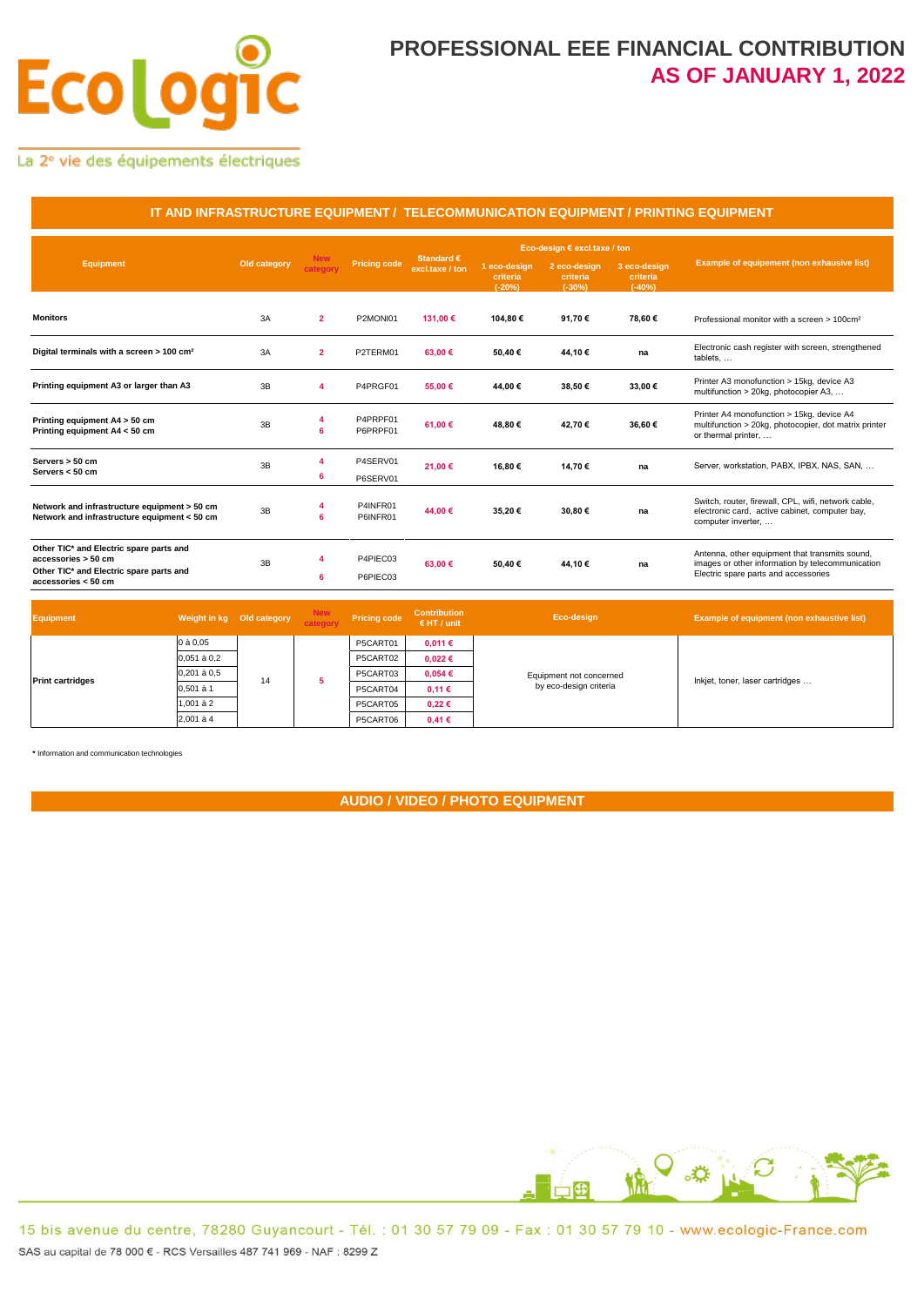# **Ecologi** ÍC

### **PROFESSIONAL EEE FINANCIAL CONTRIBUTION AS OF JANUARY 1, 2022**

La 2<sup>e</sup> vie des équipements électriques

| IT AND INFRASTRUCTURE EQUIPMENT / TELECOMMUNICATION EQUIPMENT / PRINTING EQUIPMENT                                               |              |                        |                      |                                        |                                      |                                      |                                      |                                                                                                                                            |  |  |
|----------------------------------------------------------------------------------------------------------------------------------|--------------|------------------------|----------------------|----------------------------------------|--------------------------------------|--------------------------------------|--------------------------------------|--------------------------------------------------------------------------------------------------------------------------------------------|--|--|
|                                                                                                                                  |              | <b>New</b><br>category | <b>Pricing code</b>  |                                        | Eco-design € excl.taxe / ton         |                                      |                                      |                                                                                                                                            |  |  |
| <b>Equipment</b>                                                                                                                 | Old category |                        |                      | Standard $\epsilon$<br>excl.taxe / ton | 1 eco-design<br>criteria<br>$(-20%)$ | 2 eco-design<br>criteria<br>$(-30%)$ | 3 eco-design<br>criteria<br>$(-40%)$ | Example of equipement (non exhausive list)                                                                                                 |  |  |
| <b>Monitors</b>                                                                                                                  | 3A           | $\overline{2}$         | P2MONI01             | 131,00 €                               | 104,80€                              | 91,70€                               | 78,60€                               | Professional monitor with a screen > 100cm <sup>2</sup>                                                                                    |  |  |
| Digital terminals with a screen > 100 cm <sup>2</sup>                                                                            | 3A           | $\overline{2}$         | P2TERM01             | 63,00 €                                | 50,40€                               | 44,10€                               | na                                   | Electronic cash register with screen, strengthened<br>tablets,                                                                             |  |  |
| Printing equipment A3 or larger than A3                                                                                          | 3B           | 4                      | P4PRGF01             | 55,00 €                                | 44,00 €                              | 38,50€                               | 33,00€                               | Printer A3 monofunction > 15kg, device A3<br>multifunction > 20kg, photocopier A3,                                                         |  |  |
| Printing equipment A4 > 50 cm<br>Printing equipment A4 < 50 cm                                                                   | 3B           | 4<br>6                 | P4PRPF01<br>P6PRPF01 | 61.00€                                 | 48.80€                               | 42.70€                               | 36.60€                               | Printer A4 monofunction > 15kg, device A4<br>multifunction > 20kg, photocopier, dot matrix printer<br>or thermal printer,                  |  |  |
| Servers > 50 cm<br>Servers < 50 cm                                                                                               | 3B           | 4<br>6                 | P4SERV01<br>P6SERV01 | 21,00 €                                | 16,80€                               | 14,70€                               | na                                   | Server, workstation, PABX, IPBX, NAS, SAN,                                                                                                 |  |  |
| Network and infrastructure equipment > 50 cm<br>Network and infrastructure equipment < 50 cm                                     | 3B           | 4<br>6                 | P4INFR01<br>P6INFR01 | 44,00 €                                | 35,20€                               | 30,80€                               | na                                   | Switch, router, firewall, CPL, wifi, network cable,<br>electronic card, active cabinet, computer bay,<br>computer inverter,                |  |  |
| Other TIC* and Electric spare parts and<br>accessories > 50 cm<br>Other TIC* and Electric spare parts and<br>accessories < 50 cm | 3B           | 4<br>6                 | P4PIEC03<br>P6PIEC03 | 63.00€                                 | 50.40€                               | 44.10€                               | na                                   | Antenna, other equipment that transmits sound,<br>images or other information by telecommunication<br>Electric spare parts and accessories |  |  |

| <b>Equipment</b>        | Weight in kg Old category |    | <b>New</b><br>category | <b>Pricing code</b> | <b>Contribution</b><br>$E$ HT / unit | Eco-design                                        | Example of equipment (non exhaustive list) |
|-------------------------|---------------------------|----|------------------------|---------------------|--------------------------------------|---------------------------------------------------|--------------------------------------------|
|                         | 0 à 0,05                  |    |                        | P5CART01            | 0,011€                               | Equipment not concerned<br>by eco-design criteria | Inkjet, toner, laser cartridges            |
| <b>Print cartridges</b> | $0.051$ à $0.2$           |    |                        | P5CART02            | $0,022 \in$                          |                                                   |                                            |
|                         | 0,201 à 0,5               | 14 |                        | P5CART03            | 0,054€                               |                                                   |                                            |
|                         | 0.501 à 1                 |    |                        | P5CART04            | 0,11€                                |                                                   |                                            |
|                         | $1.001$ à $2$             |    |                        | P5CART05            | $0,22 \in$                           |                                                   |                                            |
|                         | 2,001 à 4                 |    |                        | P5CART06            | 0,41€                                |                                                   |                                            |

**\*** Information and communication technologies

**AUDIO / VIDEO / PHOTO EQUIPMENT**

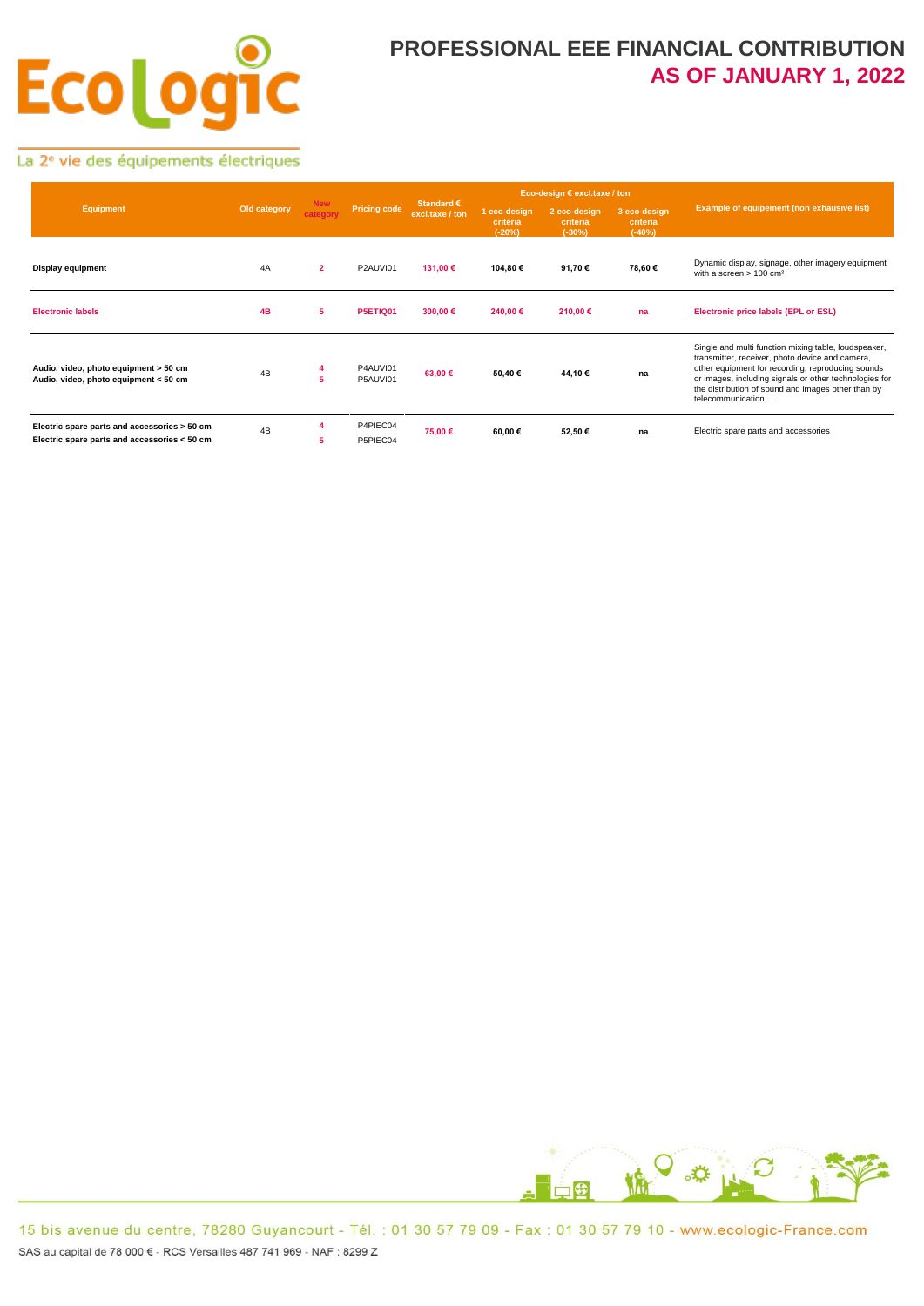# **Ecolog**  $\overline{\mathsf{C}}$

## **PROFESSIONAL EEE FINANCIAL CONTRIBUTION AS OF JANUARY 1, 2022**

La 2<sup>e</sup> vie des équipements électriques

| <b>Equipment</b>                                                                             |              |                        | Pricing code         |                                        |                                      | Eco-design € excl.taxe / ton         |                                      |                                                                                                                                                                                                                                                                                                    |
|----------------------------------------------------------------------------------------------|--------------|------------------------|----------------------|----------------------------------------|--------------------------------------|--------------------------------------|--------------------------------------|----------------------------------------------------------------------------------------------------------------------------------------------------------------------------------------------------------------------------------------------------------------------------------------------------|
|                                                                                              | Old category | <b>New</b><br>category |                      | Standard $\epsilon$<br>excl.taxe / ton | 1 eco-design<br>criteria<br>$(-20%)$ | 2 eco-design<br>criteria<br>$(-30%)$ | 3 eco-design<br>criteria<br>$(-40%)$ | Example of equipement (non exhausive list)                                                                                                                                                                                                                                                         |
| <b>Display equipment</b>                                                                     | 4A           | $\overline{2}$         | P2AUVI01             | 131,00 €                               | 104,80 €                             | 91,70€                               | 78,60€                               | Dynamic display, signage, other imagery equipment<br>with a screen $> 100$ cm <sup>2</sup>                                                                                                                                                                                                         |
| <b>Electronic labels</b>                                                                     | 4B           | 5                      | P5ETIQ01             | 300,00€                                | 240,00 €                             | 210,00€                              | na                                   | Electronic price labels (EPL or ESL)                                                                                                                                                                                                                                                               |
| Audio, video, photo equipment > 50 cm<br>Audio, video, photo equipment < 50 cm               | 4B           | 4<br>5                 | P4AUVI01<br>P5AUVI01 | 63,00 €                                | 50,40€                               | 44,10€                               | na                                   | Single and multi function mixing table, loudspeaker,<br>transmitter, receiver, photo device and camera,<br>other equipment for recording, reproducing sounds<br>or images, including signals or other technologies for<br>the distribution of sound and images other than by<br>telecommunication, |
| Electric spare parts and accessories > 50 cm<br>Electric spare parts and accessories < 50 cm | 4B           | 5                      | P4PIEC04<br>P5PIEC04 | 75,00 €                                | 60,00 €                              | 52,50€                               | na                                   | Electric spare parts and accessories                                                                                                                                                                                                                                                               |

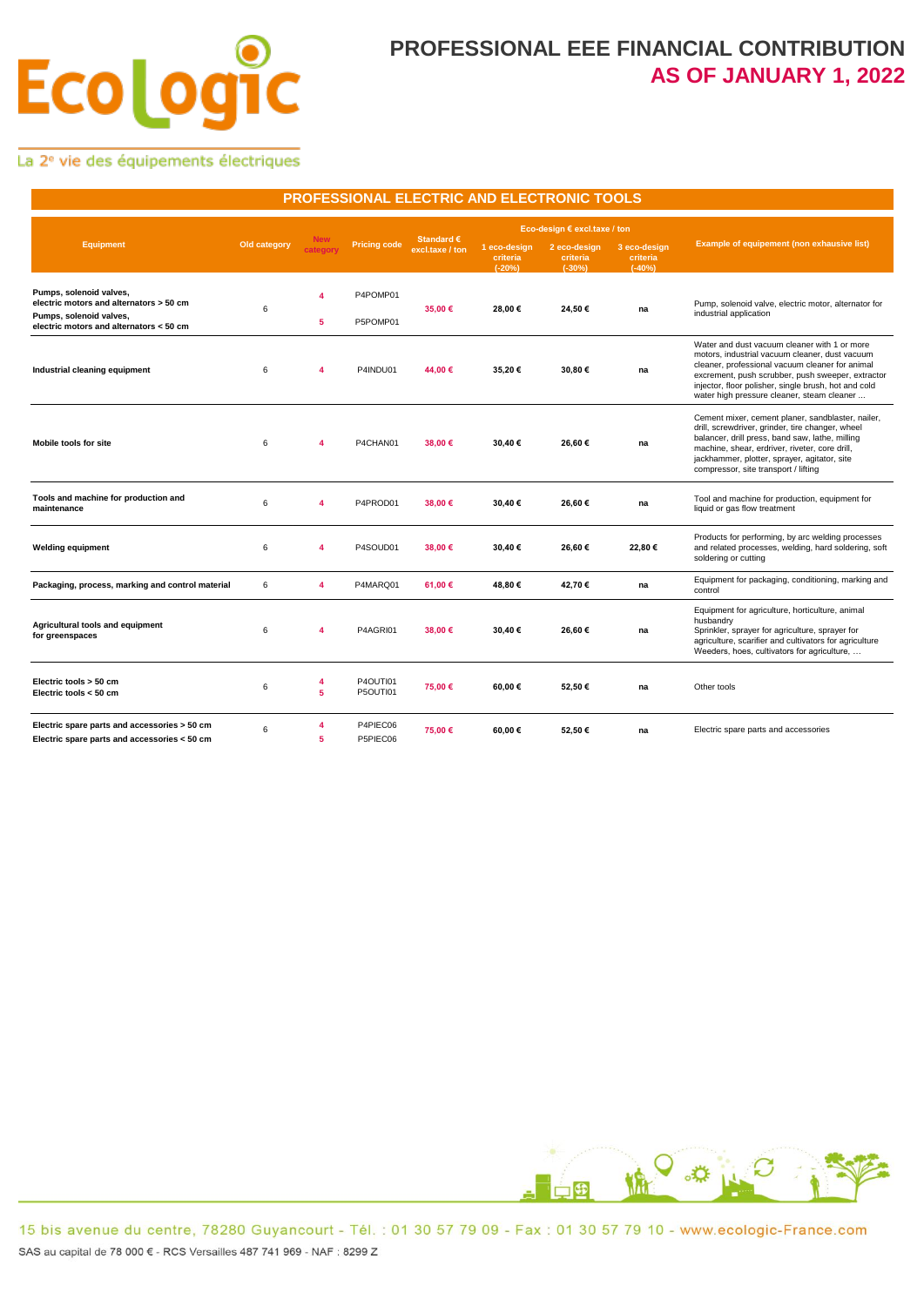# **Ecolog** C

### **PROFESSIONAL EEE FINANCIAL CONTRIBUTION AS OF JANUARY 1, 2022**

La 2<sup>e</sup> vie des équipements électriques

| PROFESSIONAL ELECTRIC AND ELECTRONIC TOOLS                                                                                               |              |                              |                      |                               |                                      |                                      |                                      |                                                                                                                                                                                                                                                                                                              |  |  |  |  |
|------------------------------------------------------------------------------------------------------------------------------------------|--------------|------------------------------|----------------------|-------------------------------|--------------------------------------|--------------------------------------|--------------------------------------|--------------------------------------------------------------------------------------------------------------------------------------------------------------------------------------------------------------------------------------------------------------------------------------------------------------|--|--|--|--|
|                                                                                                                                          |              |                              |                      |                               |                                      | Eco-design € excl.taxe / ton         |                                      |                                                                                                                                                                                                                                                                                                              |  |  |  |  |
| <b>Equipment</b>                                                                                                                         | Old category | <b>New</b><br>category       | <b>Pricing code</b>  | Standard €<br>excl.taxe / ton | 1 eco-design<br>criteria<br>$(-20%)$ | 2 eco-design<br>criteria<br>$(-30%)$ | 3 eco-design<br>criteria<br>$(-40%)$ | Example of equipement (non exhausive list)                                                                                                                                                                                                                                                                   |  |  |  |  |
| Pumps, solenoid valves,<br>electric motors and alternators > 50 cm<br>Pumps, solenoid valves,<br>electric motors and alternators < 50 cm | 6            | 4<br>5                       | P4POMP01<br>P5POMP01 | 35.00 €                       | 28,00€                               | 24,50€                               | na                                   | Pump, solenoid valve, electric motor, alternator for<br>industrial application                                                                                                                                                                                                                               |  |  |  |  |
| Industrial cleaning equipment                                                                                                            | 6            | $\overline{\mathbf{4}}$      | P4INDU01             | 44.00 €                       | 35,20€                               | 30,80€                               | na                                   | Water and dust vacuum cleaner with 1 or more<br>motors, industrial vacuum cleaner, dust vacuum<br>cleaner, professional vacuum cleaner for animal<br>excrement, push scrubber, push sweeper, extractor<br>injector, floor polisher, single brush, hot and cold<br>water high pressure cleaner, steam cleaner |  |  |  |  |
| <b>Mobile tools for site</b>                                                                                                             | 6            | $\overline{\mathbf{4}}$      | P4CHAN01             | 38,00 €                       | 30,40€                               | 26,60€                               | na                                   | Cement mixer, cement planer, sandblaster, nailer,<br>drill, screwdriver, grinder, tire changer, wheel<br>balancer, drill press, band saw, lathe, milling<br>machine, shear, erdriver, riveter, core drill,<br>jackhammer, plotter, sprayer, agitator, site<br>compressor, site transport / lifting           |  |  |  |  |
| Tools and machine for production and<br>maintenance                                                                                      | 6            | 4                            | P4PROD01             | 38,00 €                       | 30,40€                               | 26,60€                               | na                                   | Tool and machine for production, equipment for<br>liquid or gas flow treatment                                                                                                                                                                                                                               |  |  |  |  |
| <b>Welding equipment</b>                                                                                                                 | 6            | 4                            | P4SOUD01             | 38,00 €                       | 30,40€                               | 26,60€                               | 22,80€                               | Products for performing, by arc welding processes<br>and related processes, welding, hard soldering, soft<br>soldering or cutting                                                                                                                                                                            |  |  |  |  |
| Packaging, process, marking and control material                                                                                         | 6            | 4                            | P4MARQ01             | 61.00 €                       | 48,80€                               | 42,70€                               | na                                   | Equipment for packaging, conditioning, marking and<br>control                                                                                                                                                                                                                                                |  |  |  |  |
| Agricultural tools and equipment<br>for greenspaces                                                                                      | 6            | 4                            | P4AGRI01             | 38,00 €                       | 30,40€                               | 26,60€                               | na                                   | Equipment for agriculture, horticulture, animal<br>husbandry<br>Sprinkler, sprayer for agriculture, sprayer for<br>agriculture, scarifier and cultivators for agriculture<br>Weeders, hoes, cultivators for agriculture,                                                                                     |  |  |  |  |
| Electric tools > 50 cm<br>Electric tools < 50 cm                                                                                         | 6            | $\overline{\mathbf{4}}$<br>5 | P4OUTI01<br>P5OUTI01 | 75,00 €                       | 60,00€                               | 52,50€                               | na                                   | Other tools                                                                                                                                                                                                                                                                                                  |  |  |  |  |
| Electric spare parts and accessories > 50 cm<br>Electric spare parts and accessories < 50 cm                                             | 6            | 4<br>5                       | P4PIEC06<br>P5PIEC06 | 75.00 €                       | 60.00€                               | 52,50€                               | na                                   | Electric spare parts and accessories                                                                                                                                                                                                                                                                         |  |  |  |  |